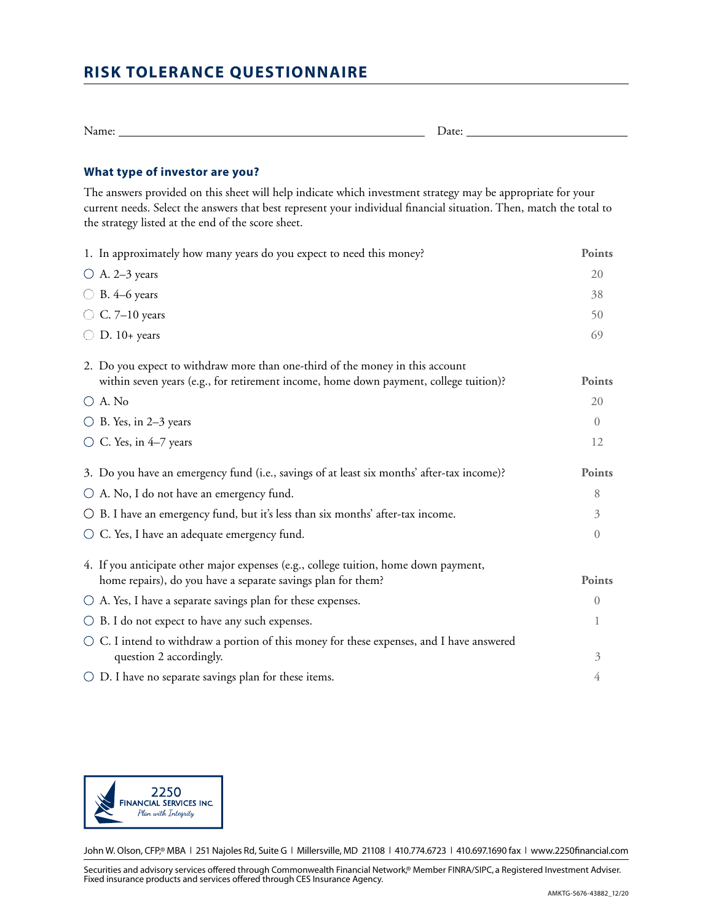# **RISK TOLERANCE QUESTIONNAIRE**

| <b>NT</b><br>N | $\cdots$<br>$\sim$ $\sim$ $\sim$ $\sim$ $\sim$ |  |
|----------------|------------------------------------------------|--|
|                |                                                |  |

## **What type of investor are you?**

The answers provided on this sheet will help indicate which investment strategy may be appropriate for your current needs. Select the answers that best represent your individual financial situation. Then, match the total to the strategy listed at the end of the score sheet.

| 1. In approximately how many years do you expect to need this money?                                                                                                   | <b>Points</b>  |
|------------------------------------------------------------------------------------------------------------------------------------------------------------------------|----------------|
| $\bigcirc$ A. 2–3 years                                                                                                                                                | 20             |
| $B. 4-6$ years                                                                                                                                                         | 38             |
| $C. 7-10$ years                                                                                                                                                        | 50             |
| D. $10+$ years                                                                                                                                                         | 69             |
| 2. Do you expect to withdraw more than one-third of the money in this account<br>within seven years (e.g., for retirement income, home down payment, college tuition)? | <b>Points</b>  |
| $\bigcirc$ A. No                                                                                                                                                       | 20             |
| $\bigcirc$ B. Yes, in 2–3 years                                                                                                                                        | $\Omega$       |
| $\circ$ C. Yes, in 4–7 years                                                                                                                                           | 12             |
| 3. Do you have an emergency fund (i.e., savings of at least six months' after-tax income)?                                                                             | Points         |
| $\bigcirc$ A. No, I do not have an emergency fund.                                                                                                                     | 8              |
| B. I have an emergency fund, but it's less than six months' after-tax income.<br>$\cup$                                                                                | 3              |
| C. Yes, I have an adequate emergency fund.<br>$\cup$                                                                                                                   | $\Omega$       |
| 4. If you anticipate other major expenses (e.g., college tuition, home down payment,<br>home repairs), do you have a separate savings plan for them?                   | <b>Points</b>  |
| $\bigcirc$ A. Yes, I have a separate savings plan for these expenses.                                                                                                  | $\overline{0}$ |
| B. I do not expect to have any such expenses.<br>$\bigcirc$                                                                                                            | 1              |
| C. I intend to withdraw a portion of this money for these expenses, and I have answered<br>question 2 accordingly.                                                     | 3              |
| $\bigcirc$ D. I have no separate savings plan for these items.                                                                                                         | 4              |



John W. Olson, CFP,® MBA∣251 Najoles Rd, Suite G∣Millersville, MD 21108∣410.774.6723∣410.697.1690 fax∣www.2250financial.com

Securities and advisory services offered through Commonwealth Financial Network,® Member FINRA/SIPC, a Registered Investment Adviser. Fixed insurance products and services offered through CES Insurance Agency.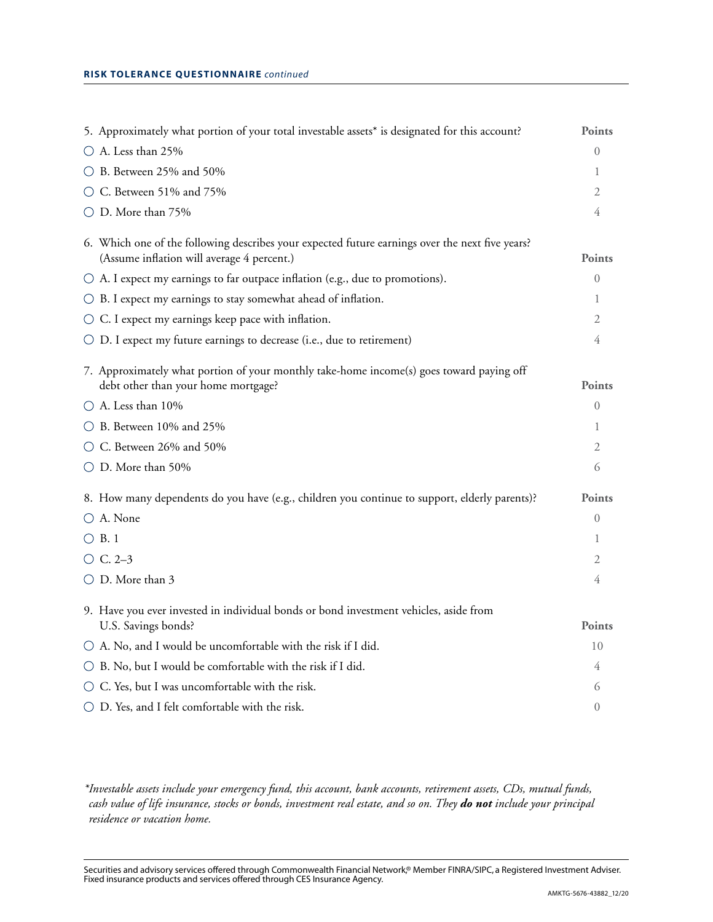| 5. Approximately what portion of your total investable assets* is designated for this account?                                                | Points           |
|-----------------------------------------------------------------------------------------------------------------------------------------------|------------------|
| $\bigcirc$ A. Less than 25%                                                                                                                   | $\theta$         |
| $\bigcirc$ B. Between 25% and 50%                                                                                                             | 1                |
| $\bigcirc$ C. Between 51% and 75%                                                                                                             | 2                |
| $\bigcirc$ D. More than 75%                                                                                                                   | 4                |
| 6. Which one of the following describes your expected future earnings over the next five years?<br>(Assume inflation will average 4 percent.) | Points           |
| $\bigcirc$ A. I expect my earnings to far outpace inflation (e.g., due to promotions).                                                        | $\overline{0}$   |
| $\bigcirc$ B. I expect my earnings to stay somewhat ahead of inflation.                                                                       | 1                |
| $\circ$ C. I expect my earnings keep pace with inflation.                                                                                     | 2                |
| $\bigcirc$ D. I expect my future earnings to decrease (i.e., due to retirement)                                                               | 4                |
| 7. Approximately what portion of your monthly take-home income(s) goes toward paying off<br>debt other than your home mortgage?               | Points           |
| $\bigcirc$ A. Less than 10%                                                                                                                   | $\left( \right)$ |
| $\bigcirc$ B. Between 10% and 25%                                                                                                             | 1                |
| $\circlearrowright$ C. Between 26% and 50%                                                                                                    | 2                |
| ○ D. More than 50%                                                                                                                            | 6                |
| 8. How many dependents do you have (e.g., children you continue to support, elderly parents)?                                                 | <b>Points</b>    |
| ○ A. None                                                                                                                                     | $\overline{0}$   |
| $\bigcirc$ B.1                                                                                                                                | 1                |
| $\circ$ C. 2-3                                                                                                                                | 2                |
| $\bigcirc$ D. More than 3                                                                                                                     | 4                |
| 9. Have you ever invested in individual bonds or bond investment vehicles, aside from<br>U.S. Savings bonds?                                  | Points           |
| $\bigcirc$ A. No, and I would be uncomfortable with the risk if I did.                                                                        | 10               |
| ○ B. No, but I would be comfortable with the risk if I did.                                                                                   | 4                |
| $\circlearrowright$ C. Yes, but I was uncomfortable with the risk.                                                                            | 6                |
| $\bigcirc$ D. Yes, and I felt comfortable with the risk.                                                                                      | 0                |

*\*Investable assets include your emergency fund, this account, bank accounts, retirement assets, CDs, mutual funds, cash value of life insurance, stocks or bonds, investment real estate, and so on. They do not include your principal residence or vacation home.*

Securities and advisory services offered through Commonwealth Financial Network,® Member FINRA/SIPC, a Registered Investment Adviser. Fixed insurance products and services offered through CES Insurance Agency.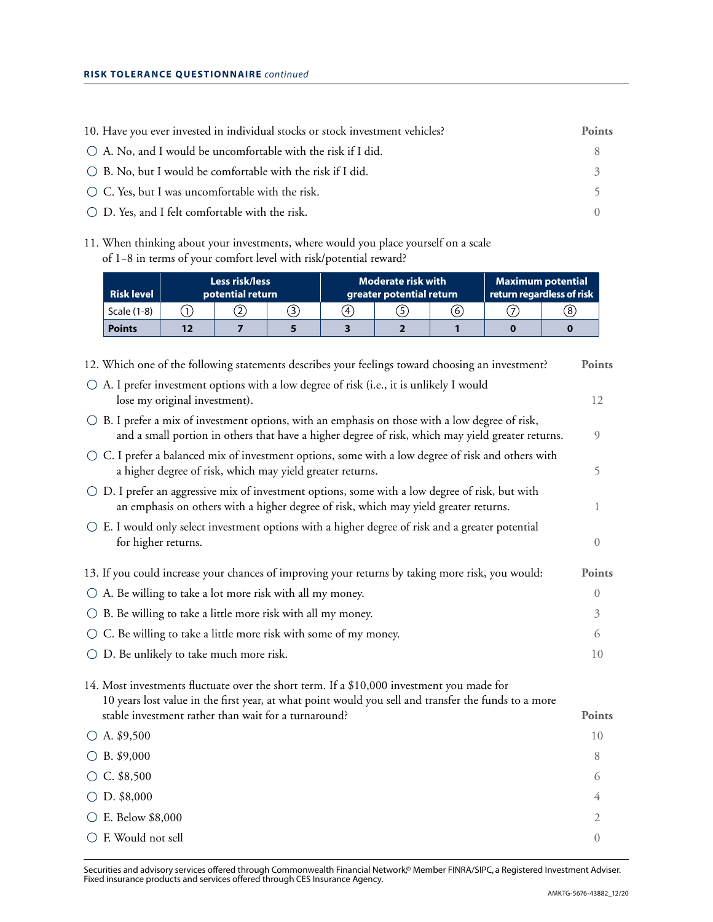| 10. Have you ever invested in individual stocks or stock investment vehicles? |               |  |
|-------------------------------------------------------------------------------|---------------|--|
| $\circ$ A. No, and I would be uncomfortable with the risk if I did.           | 8             |  |
| $\circ$ B. No, but I would be comfortable with the risk if I did.             | $\mathcal{Z}$ |  |
| $\circ$ C. Yes, but I was uncomfortable with the risk.                        |               |  |
| $\circ$ D. Yes, and I felt comfortable with the risk.                         |               |  |

11. When thinking about your investments, where would you place yourself on a scale of 1−8 in terms of your comfort level with risk/potential reward?

| <b>Risk level</b> | Less risk/less<br>potential return |    | <b>Moderate risk with</b><br>greater potential return |   |  | <b>Maximum potential</b><br>return regardless of risk |   |                  |
|-------------------|------------------------------------|----|-------------------------------------------------------|---|--|-------------------------------------------------------|---|------------------|
| Scale (1-8)       |                                    | 2. | 3                                                     | 4 |  | 6                                                     | 7 | $\left(8\right)$ |
| <b>Points</b>     | 12                                 |    |                                                       |   |  |                                                       |   | O                |
|                   |                                    |    |                                                       |   |  |                                                       |   |                  |

| 12. Which one of the following statements describes your feelings toward choosing an investment?                                                                                                                                                          | Points           |
|-----------------------------------------------------------------------------------------------------------------------------------------------------------------------------------------------------------------------------------------------------------|------------------|
| $\bigcirc$ A. I prefer investment options with a low degree of risk (i.e., it is unlikely I would<br>lose my original investment).                                                                                                                        | 12               |
| $\circlearrowright$ B. I prefer a mix of investment options, with an emphasis on those with a low degree of risk,<br>and a small portion in others that have a higher degree of risk, which may yield greater returns.                                    | 9                |
| $\circ$ C. I prefer a balanced mix of investment options, some with a low degree of risk and others with<br>a higher degree of risk, which may yield greater returns.                                                                                     | 5                |
| O D. I prefer an aggressive mix of investment options, some with a low degree of risk, but with<br>an emphasis on others with a higher degree of risk, which may yield greater returns.                                                                   | 1                |
| $\circlearrowright$ E. I would only select investment options with a higher degree of risk and a greater potential<br>for higher returns.                                                                                                                 | $\overline{0}$   |
| 13. If you could increase your chances of improving your returns by taking more risk, you would:                                                                                                                                                          | <b>Points</b>    |
| A. Be willing to take a lot more risk with all my money.<br>$\bigcirc$                                                                                                                                                                                    | $\left( \right)$ |
| B. Be willing to take a little more risk with all my money.<br>$\bigcirc$                                                                                                                                                                                 | 3                |
| C. Be willing to take a little more risk with some of my money.                                                                                                                                                                                           | 6                |
| $\bigcirc$ D. Be unlikely to take much more risk.                                                                                                                                                                                                         | 10               |
| 14. Most investments fluctuate over the short term. If a \$10,000 investment you made for<br>10 years lost value in the first year, at what point would you sell and transfer the funds to a more<br>stable investment rather than wait for a turnaround? | Points           |
| $\circ$ A. \$9,500                                                                                                                                                                                                                                        | 10               |
| $\circ$ B. \$9,000                                                                                                                                                                                                                                        | 8                |
| $C.$ \$8,500                                                                                                                                                                                                                                              | 6                |
|                                                                                                                                                                                                                                                           |                  |
| D. \$8,000                                                                                                                                                                                                                                                | 4                |
| $\circ$ E. Below \$8,000                                                                                                                                                                                                                                  | 2                |
| ○ F. Would not sell                                                                                                                                                                                                                                       | $\theta$         |

Securities and advisory services offered through Commonwealth Financial Network,® Member FINRA/SIPC, a Registered Investment Adviser. Fixed insurance products and services offered through CES Insurance Agency.